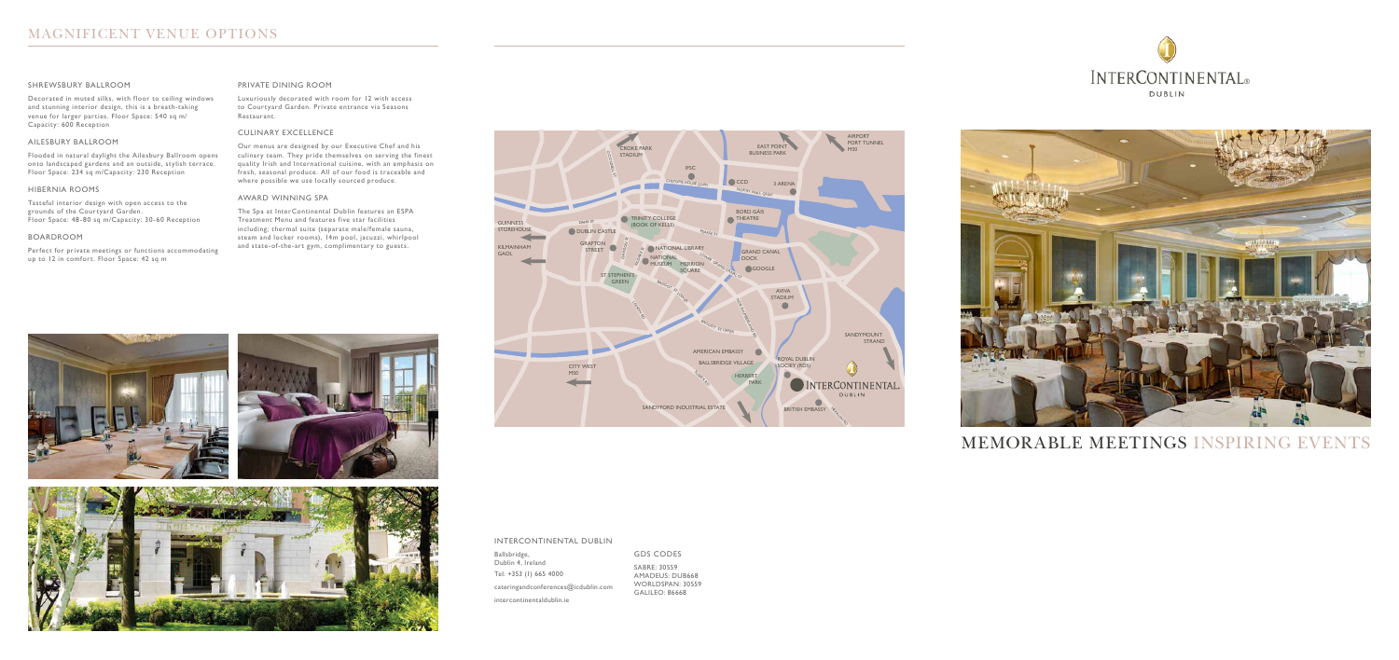







### INTERCONTINENTAL DUBLIN

Ballsbridge, Dublin 4, Ireland Tel: +353 (1) 665 4000 cateringandconferences@icdublin.com intercontinentaldublin.ie

### GDS CODES

SABRE: 30559 AMADEUS: DUB668 WORLDSPAN: 30559 GALILEO: 86668

MEMORABLE MEETINGS INSPIRING EVENTS

#### SHREWSBURY BALLROOM

Decorated in muted silks, with floor to ceiling windows and stunning interior design, this is a breath-taking venue for larger parties. Floor Space: 540 sq m/ Capacity: 600 Reception

#### AILESBURY BALLROOM

Flooded in natural daylight the Ailesbury Ballroom opens onto landscaped gardens and an outside, stylish terrace. Floor Space: 234 sq m/Capacity: 230 Reception

#### HIBERNIA ROOMS

Tasteful interior design with open access to the grounds of the Courtyard Garden. Floor Space: 48-80 sq m/Capacity: 30-60 Reception

#### BOARDROOM

Perfect for private meetings or functions accommodating up to 12 in comfort. Floor Space: 42 sq m

#### PRIVATE DINING ROOM

Luxuriously decorated with room for 12 with access to Courtyard Garden. Private entrance via Seasons Restaurant.

### CULINARY EXCELLENCE

Our menus are designed by our Executive Chef and his culinary team. They pride themselves on serving the finest quality Irish and International cuisine, with an emphasis on fresh, seasonal produce. All of our food is traceable and where possible we use locally sourced produce.

#### AWARD WINNING SPA

The Spa at InterContinental Dublin features an ESPA Treatment Menu and features five star facilities including; thermal suite (separate male/female sauna, steam and locker rooms), 14m pool, jacuzzi, whirlpool and state-of-the-art gym, complimentary to guests.